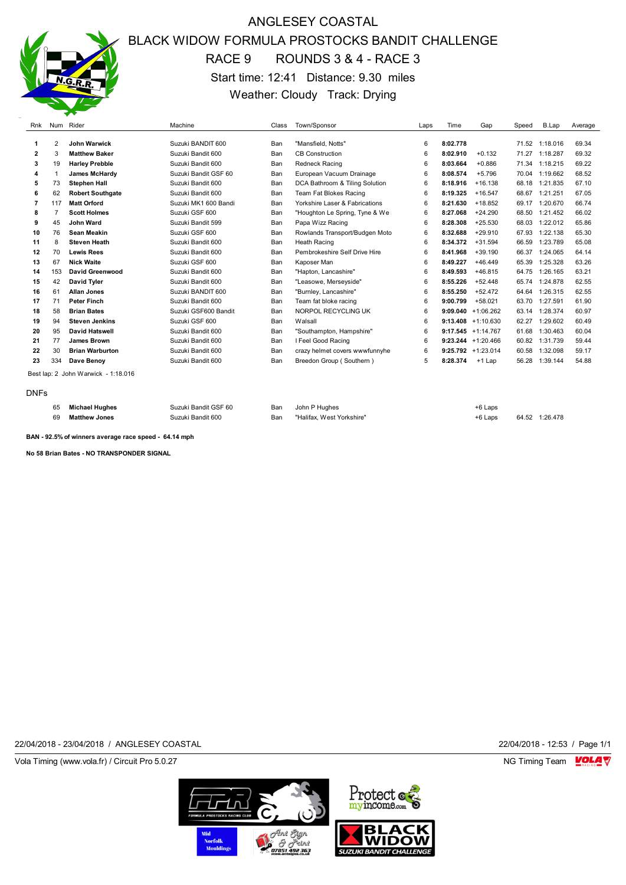

# ANGLESEY COASTAL BLACK WIDOW FORMULA PROSTOCKS BANDIT CHALLENGE RACE 9 ROUNDS 3 & 4 - RACE 3 Start time: 12:41 Distance: 9.30 miles Weather: Cloudy Track: Drying

| Rnk         |     | Num Rider                           | Machine              | Class | Town/Sponsor                   | Laps       | Time     | Gap                   | Speed | B.Lap    | Average |
|-------------|-----|-------------------------------------|----------------------|-------|--------------------------------|------------|----------|-----------------------|-------|----------|---------|
|             |     |                                     |                      |       |                                |            |          |                       |       |          |         |
| 1           | 2   | John Warwick                        | Suzuki BANDIT 600    | Ban   | "Mansfield, Notts"             | 6          | 8:02.778 |                       | 71.52 | 1:18.016 | 69.34   |
| 2           | 3   | <b>Matthew Baker</b>                | Suzuki Bandit 600    | Ban   | <b>CB Construction</b>         | 6          | 8:02.910 | $+0.132$              | 71.27 | 1:18.287 | 69.32   |
| 3           | 19  | <b>Harley Prebble</b>               | Suzuki Bandit 600    | Ban   | <b>Redneck Racing</b>          | 6          | 8:03.664 | $+0.886$              | 71.34 | 1:18.215 | 69.22   |
| 4           |     | <b>James McHardv</b>                | Suzuki Bandit GSF 60 | Ban   | European Vacuum Drainage       | 6          | 8:08.574 | $+5.796$              | 70.04 | 1:19.662 | 68.52   |
| 5           | 73  | <b>Stephen Hall</b>                 | Suzuki Bandit 600    | Ban   | DCA Bathroom & Tiling Solution | 6          | 8:18.916 | $+16.138$             | 68.18 | 1:21.835 | 67.10   |
| 6           | 62  | <b>Robert Southgate</b>             | Suzuki Bandit 600    | Ban   | Team Fat Blokes Racing         | 6          | 8:19.325 | $+16.547$             | 68.67 | 1:21.251 | 67.05   |
| 7           | 117 | <b>Matt Orford</b>                  | Suzuki MK1 600 Bandi | Ban   | Yorkshire Laser & Fabrications | $\epsilon$ | 8:21.630 | $+18.852$             | 69.17 | 1:20.670 | 66.74   |
| 8           |     | <b>Scott Holmes</b>                 | Suzuki GSF 600       | Ban   | "Houghton Le Spring, Tyne & We | 6          | 8:27.068 | $+24.290$             | 68.50 | 1:21.452 | 66.02   |
| 9           | 45  | John Ward                           | Suzuki Bandit 599    | Ban   | Papa Wizz Racing               | 6          | 8:28.308 | $+25.530$             | 68.03 | 1:22.012 | 65.86   |
| 10          | 76  | Sean Meakin                         | Suzuki GSF 600       | Ban   | Rowlands Transport/Budgen Moto | 6          | 8:32.688 | $+29.910$             | 67.93 | 1:22.138 | 65.30   |
| 11          | 8   | <b>Steven Heath</b>                 | Suzuki Bandit 600    | Ban   | <b>Heath Racing</b>            | 6          | 8:34.372 | $+31.594$             | 66.59 | 1:23.789 | 65.08   |
| 12          | 70  | <b>Lewis Rees</b>                   | Suzuki Bandit 600    | Ban   | Pembrokeshire Self Drive Hire  | 6          | 8:41.968 | $+39.190$             | 66.37 | 1:24.065 | 64.14   |
| 13          | 67  | <b>Nick Waite</b>                   | Suzuki GSF 600       | Ban   | Kaposer Man                    | 6          | 8:49.227 | $+46.449$             | 65.39 | 1:25.328 | 63.26   |
| 14          | 153 | David Greenwood                     | Suzuki Bandit 600    | Ban   | "Hapton, Lancashire"           | 6          | 8:49.593 | $+46.815$             | 64.75 | 1:26.165 | 63.21   |
| 15          | 42  | David Tyler                         | Suzuki Bandit 600    | Ban   | "Leasowe, Merseyside"          | 6          | 8:55.226 | $+52.448$             | 65.74 | 1:24.878 | 62.55   |
| 16          | 61  | <b>Allan Jones</b>                  | Suzuki BANDIT 600    | Ban   | "Burnley, Lancashire"          | 6          | 8:55.250 | $+52.472$             | 64.64 | 1:26.315 | 62.55   |
| 17          | 71  | <b>Peter Finch</b>                  | Suzuki Bandit 600    | Ban   | Team fat bloke racing          | 6          | 9:00.799 | $+58.021$             | 63.70 | 1:27.591 | 61.90   |
| 18          | 58  | <b>Brian Bates</b>                  | Suzuki GSF600 Bandit | Ban   | NORPOL RECYCLING UK            | 6          |          | $9:09.040 +1:06.262$  | 63.14 | 1:28.374 | 60.97   |
| 19          | 94  | <b>Steven Jenkins</b>               | Suzuki GSF 600       | Ban   | Walsall                        | 6          |          | $9:13.408 + 1:10.630$ | 62.27 | 1:29.602 | 60.49   |
| 20          | 95  | <b>David Hatswell</b>               | Suzuki Bandit 600    | Ban   | "Southampton, Hampshire"       | 6          |          | $9:17.545 +1:14.767$  | 61.68 | 1:30.463 | 60.04   |
| 21          | 77  | <b>James Brown</b>                  | Suzuki Bandit 600    | Ban   | I Feel Good Racing             | 6          |          | $9:23.244 + 1:20.466$ | 60.82 | 1:31.739 | 59.44   |
| 22          | 30  | <b>Brian Warburton</b>              | Suzuki Bandit 600    | Ban   | crazy helmet covers wwwfunnyhe | 6          |          | $9:25.792 +1:23.014$  | 60.58 | 1:32.098 | 59.17   |
| 23          | 334 | Dave Benoy                          | Suzuki Bandit 600    | Ban   | Breedon Group (Southern)       | 5          | 8:28.374 | $+1$ Lap              | 56.28 | 1:39.144 | 54.88   |
|             |     | Best lap: 2 John Warwick - 1:18.016 |                      |       |                                |            |          |                       |       |          |         |
| <b>DNFs</b> |     |                                     |                      |       |                                |            |          |                       |       |          |         |

 **Michael Hughes** Suzuki Bandit GSF 60 Ban John P Hughes +6 Laps **Matthew Jones** Suzuki Bandit 600 Ban "Halifax, West Yorkshire" +6 Laps 64.52 1:26.478

**BAN - 92.5% of winners average race speed - 64.14 mph**

**No 58 Brian Bates - NO TRANSPONDER SIGNAL**

22/04/2018 - 23/04/2018 / ANGLESEY COASTAL 22/04/2018 - 12:53 / Page 1/1

Vola Timing (www.vola.fr) / Circuit Pro 5.0.27 NG Timing Team NG Timing Team NG Timing Team NG Timing Team NG

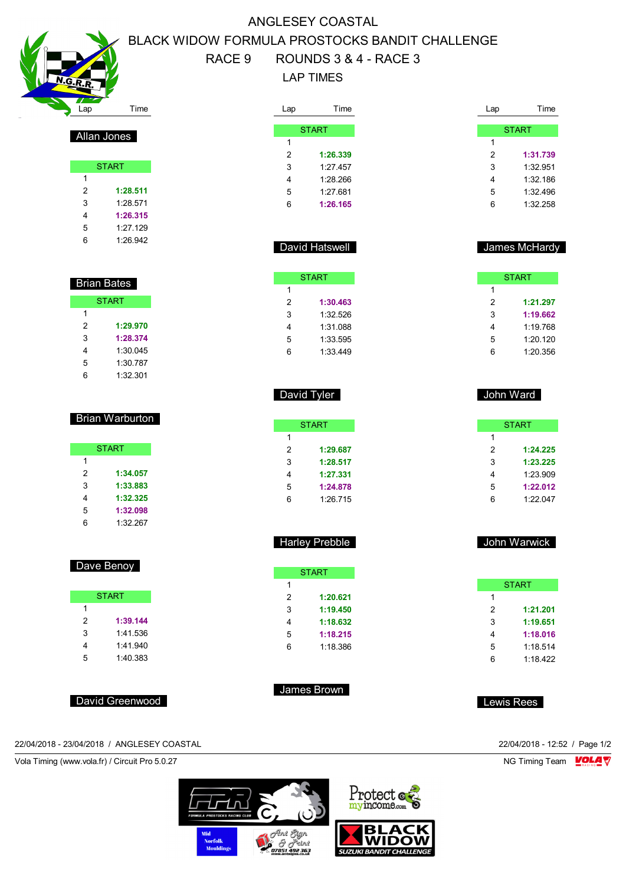Lap Time

Allan Jones

 Brian Bates **START** 

> **1:29.970 1:28.374** 1:30.045 1:30.787 1:32.301

Brian Warburton

**START** 

 **1:34.057 1:33.883 1:32.325 1:32.098** 1:32.267

Dave Benoy

**START** 

 **1:39.144** 1:41.536 1:41.940 1:40.383

**START** 

 **1:28.511** 1:28.571 **1:26.315** 1:27.129 1:26.942

### ANGLESEY COASTAL BLACK WIDOW FORMULA PROSTOCKS BANDIT CHALLENGE RACE 9 ROUNDS 3 & 4 - RACE 3

### LAP TIMES

Lap

| _ap | Time         |
|-----|--------------|
|     |              |
|     | <b>START</b> |
| 1   |              |
| 2   | 1:26.339     |
| 3   | 1:27.457     |
| 4   | 1:28.266     |
| 5   | 1:27.681     |
| 6   | 1:26.165     |

| Lap | Time         |
|-----|--------------|
|     |              |
|     | <b>START</b> |
| 1   |              |
| 2   | 1:31.739     |
| 3   | 1:32.951     |
| 4   | 1:32.186     |
| 5   | 1:32496      |
| 6   | 1:32.258     |
|     |              |

### James McHardy

|   | <b>START</b> |
|---|--------------|
| 1 |              |
| 2 | 1:21.297     |
| 3 | 1:19.662     |
| 4 | 1:19.768     |
| 5 | 1:20.120     |
| հ | 1:20.356     |

| John Ward |          |
|-----------|----------|
|           | START    |
| 1         |          |
| 2         | 1:24,225 |
| 3         | 1:23.225 |
| Λ         | חחם בר∙ו |

| з | 1:23.225 |
|---|----------|
| 4 | 1.23909  |
| 5 | 1:22.012 |
| 6 | 1:22.047 |
|   |          |

|   | <b>START</b> |  |
|---|--------------|--|
| 1 |              |  |
| 2 | 1:21.201     |  |
| 3 | 1:19.651     |  |
| 4 | 1:18.016     |  |
| 5 | 1:18.514     |  |
| հ | 1.18422      |  |

Lewis Rees

| David Hatswell |
|----------------|
|                |
|                |

|   | <b>START</b> |
|---|--------------|
| 1 |              |
| 2 | 1:30.463     |
| 3 | 1:32.526     |
| 4 | 1:31 088     |
| 5 | 1:33.595     |
| 6 | 1:33.449     |
|   |              |

|   | <b>START</b> |
|---|--------------|
| 1 |              |
| 2 | 1:29.687     |
| 3 | 1:28.517     |
| 4 | 1:27.331     |
| 5 | 1:24.878     |
| 6 | 1:26.715     |

David Tyler

| <b>Harley Prebble</b> |  |
|-----------------------|--|

| <b>START</b> |          |  |
|--------------|----------|--|
| 1            |          |  |
| 2            | 1:20.621 |  |
| 3            | 1:19.450 |  |
| 4            | 1:18.632 |  |
| 5            | 1:18.215 |  |
| հ            | 1.18.386 |  |
|              |          |  |

James Brown

David Greenwood

22/04/2018 - 23/04/2018 / ANGLESEY COASTAL 22/04/2018 - 12:52 / Page 1/2

Vola Timing (www.vola.fr) / Circuit Pro 5.0.27 NG Timing Team Motor NG Timing Team Motor NG Timing Team Motor

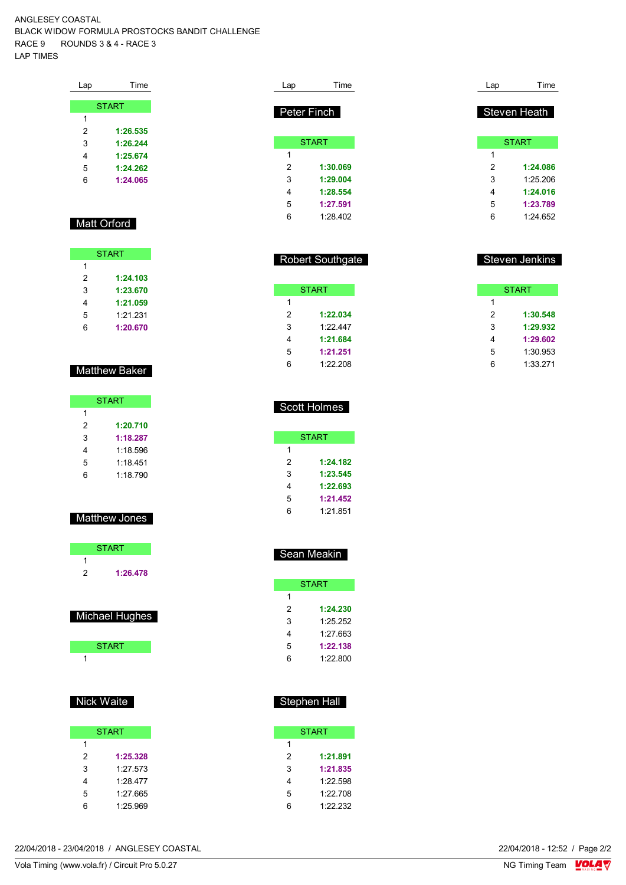ANGLESEY COASTAL BLACK WIDOW FORMULA PROSTOCKS BANDIT CHALLENGE RACE 9 ROUNDS 3 & 4 - RACE 3 LAP TIMES

| Lap | Time         |
|-----|--------------|
|     |              |
|     | <b>START</b> |
| 1   |              |
| 2   | 1:26.535     |
| 3   | 1:26.244     |
| 4   | 1:25.674     |
| 5   | 1:24.262     |
| 6   | 1:24.065     |
|     |              |

#### Matt Orford

| <b>START</b> |          |  |
|--------------|----------|--|
| 1            |          |  |
| 2            | 1:24.103 |  |
| 3            | 1:23.670 |  |
| 4            | 1:21.059 |  |
| 5            | 1.21.231 |  |
| հ            | 1:20.670 |  |

#### Matthew Baker

| <b>START</b> |          |  |
|--------------|----------|--|
| 1            |          |  |
| 2            | 1:20.710 |  |
| 3            | 1:18.287 |  |
| 4            | 1:18.596 |  |
| 5            | 1:18.451 |  |
| հ            | 1.18790  |  |

### Matthew Jones

|   | <b>START</b> |  |
|---|--------------|--|
| 1 |              |  |
| 2 | 1:26.478     |  |
|   |              |  |
|   |              |  |

| Michael Hughes |  |
|----------------|--|
|                |  |

| <b>START</b> |  |
|--------------|--|
|              |  |

#### Nick Waite

|               | <b>START</b> |  |
|---------------|--------------|--|
| 1             |              |  |
| $\mathcal{P}$ | 1:25.328     |  |
| 3             | 1.27573      |  |
| 4             | 1:28.477     |  |
| 5             | 1:27.665     |  |
| ี่ค           | 1:25.969     |  |

| Lap | Time         | Lap | Time         |
|-----|--------------|-----|--------------|
|     | Peter Finch  |     | Steven Heath |
|     | <b>START</b> |     | <b>START</b> |
| 1   |              | 1   |              |
| 2   | 1:30.069     | 2   | 1:24.086     |
| 3   | 1:29.004     | 3   | 1:25.206     |
| 4   | 1:28.554     | 4   | 1:24.016     |
| 5   | 1:27.591     | 5   | 1:23.789     |
| 6   | 1:28.402     | 6   | 1:24.652     |

| <b>Robert Southgate</b> |
|-------------------------|
|                         |

|   | START    |
|---|----------|
| 1 |          |
| 2 | 1:22.034 |
| 3 | 1.22447  |
| 4 | 1:21.684 |
| 5 | 1:21.251 |
| հ | 1:22.208 |

| <b>START</b> |          |  |
|--------------|----------|--|
| 1            |          |  |
| 2            | 1:30.548 |  |
| 3            | 1:29.932 |  |
| 4            | 1:29.602 |  |
| 5            | 1:30.953 |  |
| 6            | 1:33.271 |  |

Steven Jenkins

|   | <b>Scott Holmes</b> |
|---|---------------------|
|   | START               |
| 1 |                     |
| 2 | 1:24.182            |
| 3 | 1:23.545            |
|   | 1:22.693            |

 **1:21.452** 1:21.851

|--|

|   | START    |
|---|----------|
| 1 |          |
| 2 | 1:24.230 |
| 3 | 1:25.252 |
| 4 | 1.27 663 |
| 5 | 1:22.138 |
| հ | 1.22.800 |

#### Stephen Hall

|   | START    |
|---|----------|
| 1 |          |
| 2 | 1:21.891 |
| 3 | 1:21.835 |
| 4 | 1:22.598 |
| 5 | 1:22708  |
| հ | 1:22.232 |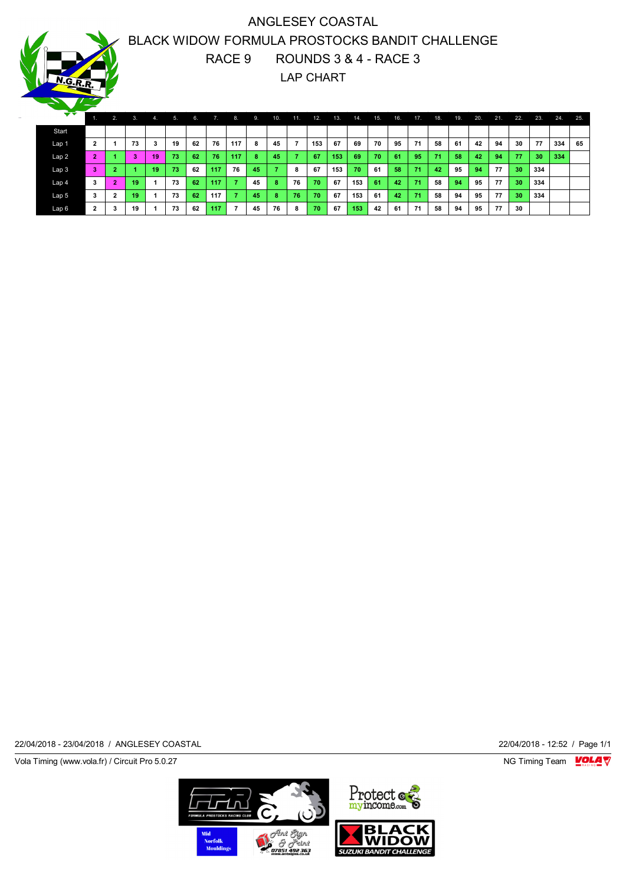## ANGLESEY COASTAL BLACK WIDOW FORMULA PROSTOCKS BANDIT CHALLENGE RACE 9 ROUNDS 3 & 4 - RACE 3 LAP CHART

| ▼▼    |                | 2.              | 3. | 4.                      | 5. | 6. | 7.  | 8.             | 9. | <b>10.</b> | 11. | 12. | 13. | TA. | 15. | 16. | 17. | 18. | 19. | 20. | 21. | 22.             | 23. | 24. | 25. |
|-------|----------------|-----------------|----|-------------------------|----|----|-----|----------------|----|------------|-----|-----|-----|-----|-----|-----|-----|-----|-----|-----|-----|-----------------|-----|-----|-----|
| Start |                |                 |    |                         |    |    |     |                |    |            |     |     |     |     |     |     |     |     |     |     |     |                 |     |     |     |
| Lap 1 | $\mathbf{2}$   |                 | 73 | 3                       | 19 | 62 | 76  | 117            | 8  | 45         |     | 153 | 67  | 69  | 70  | 95  | 71  | 58  | 61  | 42  | 94  | 30              | 77  | 334 | 65  |
| Lap 2 | $\overline{2}$ |                 | 3  | 19                      | 73 | 62 | 76  | 117            | 8  | 45         |     | 67  | 153 | 69  | 70  | 61  | 95  | 71  | 58  | 42  | 94  | 77              | 30  | 334 |     |
| Lap 3 | 3              | $\overline{2}$  |    | 19                      | 73 | 62 | 117 | 76             | 45 | 7          | 8   | 67  | 153 | 70  | 61  | 58  | 71  | 42  | 95  | 94  | 77  | 30 <sub>1</sub> | 334 |     |     |
| Lap 4 | 3              | $\bullet$<br>z. | 19 | $\overline{\mathbf{A}}$ | 73 | 62 | 117 | $\mathbf{r}$   | 45 | 8          | 76  | 70  | 67  | 153 | 61  | 42  | 71  | 58  | 94  | 95  | 77  | 30 <sub>2</sub> | 334 |     |     |
| Lap 5 | 3              | $\mathbf{2}$    | 19 |                         | 73 | 62 | 117 | $\overline{z}$ | 45 | 8          | 76  | 70  | 67  | 153 | 61  | 42  | 71  | 58  | 94  | 95  | 77  | 30 <sub>1</sub> | 334 |     |     |
| Lap 6 | $\overline{2}$ | 3               | 19 |                         | 73 | 62 | 117 | $\overline{ }$ | 45 | 76         | 8   | 70  | 67  | 153 | 42  | 61  | 71  | 58  | 94  | 95  | 77  | 30              |     |     |     |

22/04/2018 - 23/04/2018 / ANGLESEY COASTAL 22/04/2018 - 12:52 / Page 1/1

Vola Timing (www.vola.fr) / Circuit Pro 5.0.27 **NG Timing Team** Vola Timing Team VOLA V